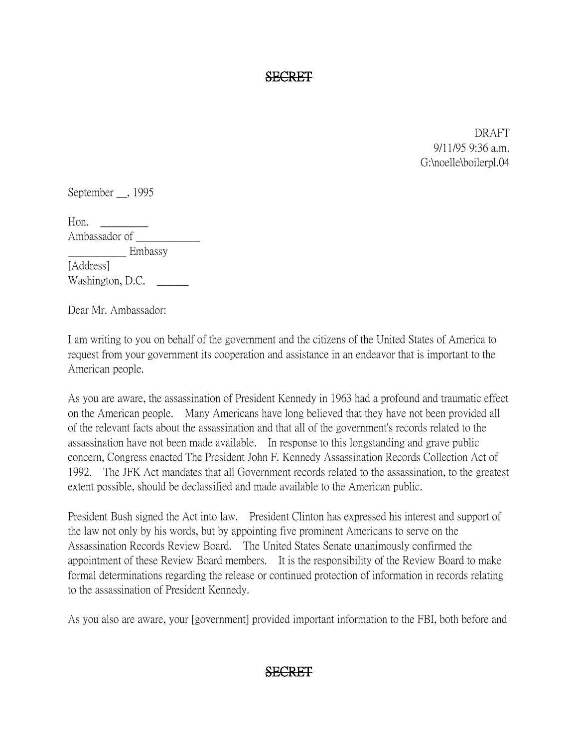SECRET

DRAFT 9/11/95 9:36 a.m. G:\noelle\boilerpl.04

September , 1995

Hon.  $\qquad \qquad$ Ambassador of \_\_\_\_\_\_\_\_\_\_\_\_ \_\_\_\_\_\_\_\_\_\_\_ Embassy [Address] Washington, D.C.

Dear Mr. Ambassador:

I am writing to you on behalf of the government and the citizens of the United States of America to request from your government its cooperation and assistance in an endeavor that is important to the American people.

As you are aware, the assassination of President Kennedy in 1963 had a profound and traumatic effect on the American people. Many Americans have long believed that they have not been provided all of the relevant facts about the assassination and that all of the government's records related to the assassination have not been made available. In response to this longstanding and grave public concern, Congress enacted The President John F. Kennedy Assassination Records Collection Act of 1992. The JFK Act mandates that all Government records related to the assassination, to the greatest extent possible, should be declassified and made available to the American public.

President Bush signed the Act into law. President Clinton has expressed his interest and support of the law not only by his words, but by appointing five prominent Americans to serve on the Assassination Records Review Board. The United States Senate unanimously confirmed the appointment of these Review Board members. It is the responsibility of the Review Board to make formal determinations regarding the release or continued protection of information in records relating to the assassination of President Kennedy.

As you also are aware, your [government] provided important information to the FBI, both before and

## SECRET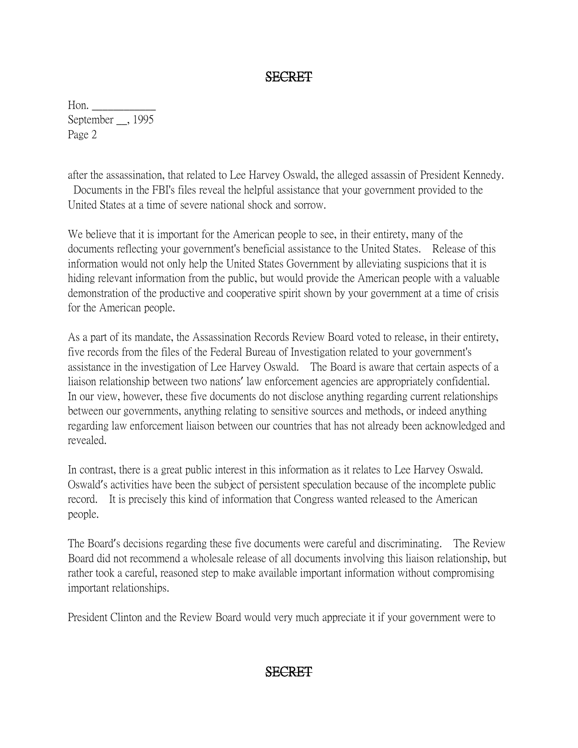## SECRET

Hon. September \_\_, 1995 Page 2

after the assassination, that related to Lee Harvey Oswald, the alleged assassin of President Kennedy. Documents in the FBI's files reveal the helpful assistance that your government provided to the United States at a time of severe national shock and sorrow.

We believe that it is important for the American people to see, in their entirety, many of the documents reflecting your government's beneficial assistance to the United States. Release of this information would not only help the United States Government by alleviating suspicions that it is hiding relevant information from the public, but would provide the American people with a valuable demonstration of the productive and cooperative spirit shown by your government at a time of crisis for the American people.

As a part of its mandate, the Assassination Records Review Board voted to release, in their entirety, five records from the files of the Federal Bureau of Investigation related to your government's assistance in the investigation of Lee Harvey Oswald. The Board is aware that certain aspects of a liaison relationship between two nations' law enforcement agencies are appropriately confidential. In our view, however, these five documents do not disclose anything regarding current relationships between our governments, anything relating to sensitive sources and methods, or indeed anything regarding law enforcement liaison between our countries that has not already been acknowledged and revealed.

In contrast, there is a great public interest in this information as it relates to Lee Harvey Oswald. Oswald's activities have been the subject of persistent speculation because of the incomplete public record. It is precisely this kind of information that Congress wanted released to the American people.

The Board's decisions regarding these five documents were careful and discriminating. The Review Board did not recommend a wholesale release of all documents involving this liaison relationship, but rather took a careful, reasoned step to make available important information without compromising important relationships.

President Clinton and the Review Board would very much appreciate it if your government were to

## SECRET